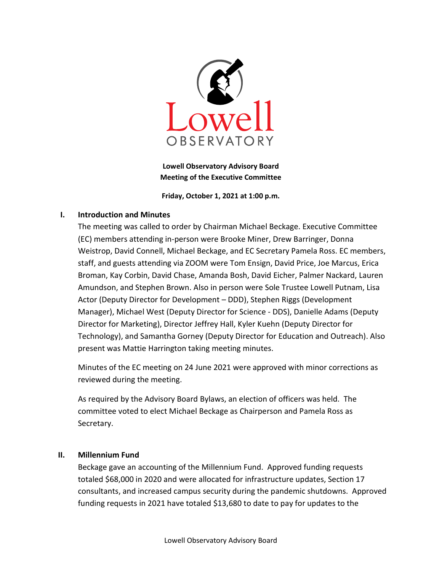

Lowell Observatory Advisory Board Meeting of the Executive Committee

Friday, October 1, 2021 at 1:00 p.m.

# I. Introduction and Minutes

The meeting was called to order by Chairman Michael Beckage. Executive Committee (EC) members attending in-person were Brooke Miner, Drew Barringer, Donna Weistrop, David Connell, Michael Beckage, and EC Secretary Pamela Ross. EC members, staff, and guests attending via ZOOM were Tom Ensign, David Price, Joe Marcus, Erica Broman, Kay Corbin, David Chase, Amanda Bosh, David Eicher, Palmer Nackard, Lauren Amundson, and Stephen Brown. Also in person were Sole Trustee Lowell Putnam, Lisa Actor (Deputy Director for Development – DDD), Stephen Riggs (Development Manager), Michael West (Deputy Director for Science - DDS), Danielle Adams (Deputy Director for Marketing), Director Jeffrey Hall, Kyler Kuehn (Deputy Director for Technology), and Samantha Gorney (Deputy Director for Education and Outreach). Also present was Mattie Harrington taking meeting minutes.

Minutes of the EC meeting on 24 June 2021 were approved with minor corrections as reviewed during the meeting.

As required by the Advisory Board Bylaws, an election of officers was held. The committee voted to elect Michael Beckage as Chairperson and Pamela Ross as Secretary.

# II. Millennium Fund

Beckage gave an accounting of the Millennium Fund. Approved funding requests totaled \$68,000 in 2020 and were allocated for infrastructure updates, Section 17 consultants, and increased campus security during the pandemic shutdowns. Approved funding requests in 2021 have totaled \$13,680 to date to pay for updates to the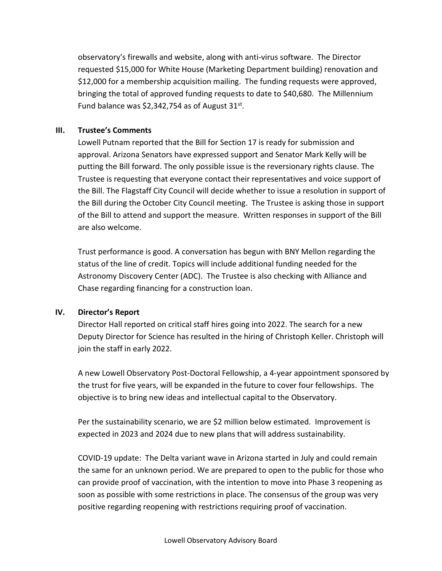observatory's firewalls and website, along with anti-virus software. The Director requested \$15,000 for White House (Marketing Department building) renovation and \$12,000 for a membership acquisition mailing. The funding requests were approved, bringing the total of approved funding requests to date to \$40,680. The Millennium Fund balance was \$2,342,754 as of August  $31^{st}$ .

### III. Trustee's Comments

Lowell Putnam reported that the Bill for Section 17 is ready for submission and approval. Arizona Senators have expressed support and Senator Mark Kelly will be putting the Bill forward. The only possible issue is the reversionary rights clause. The Trustee is requesting that everyone contact their representatives and voice support of the Bill. The Flagstaff City Council will decide whether to issue a resolution in support of the Bill during the October City Council meeting. The Trustee is asking those in support of the Bill to attend and support the measure. Written responses in support of the Bill are also welcome.

Trust performance is good. A conversation has begun with BNY Mellon regarding the status of the line of credit. Topics will include additional funding needed for the Astronomy Discovery Center (ADC). The Trustee is also checking with Alliance and Chase regarding financing for a construction loan.

# IV. Director's Report

Director Hall reported on critical staff hires going into 2022. The search for a new Deputy Director for Science has resulted in the hiring of Christoph Keller. Christoph will join the staff in early 2022.

A new Lowell Observatory Post-Doctoral Fellowship, a 4-year appointment sponsored by the trust for five years, will be expanded in the future to cover four fellowships. The objective is to bring new ideas and intellectual capital to the Observatory.

Per the sustainability scenario, we are \$2 million below estimated. Improvement is expected in 2023 and 2024 due to new plans that will address sustainability.

COVID-19 update: The Delta variant wave in Arizona started in July and could remain the same for an unknown period. We are prepared to open to the public for those who can provide proof of vaccination, with the intention to move into Phase 3 reopening as soon as possible with some restrictions in place. The consensus of the group was very positive regarding reopening with restrictions requiring proof of vaccination.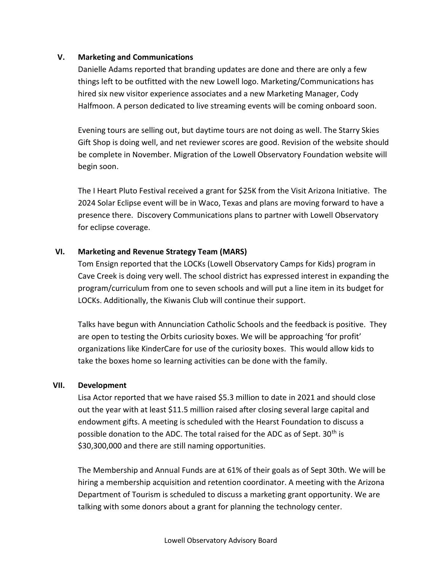# V. Marketing and Communications

Danielle Adams reported that branding updates are done and there are only a few things left to be outfitted with the new Lowell logo. Marketing/Communications has hired six new visitor experience associates and a new Marketing Manager, Cody Halfmoon. A person dedicated to live streaming events will be coming onboard soon.

Evening tours are selling out, but daytime tours are not doing as well. The Starry Skies Gift Shop is doing well, and net reviewer scores are good. Revision of the website should be complete in November. Migration of the Lowell Observatory Foundation website will begin soon.

The I Heart Pluto Festival received a grant for \$25K from the Visit Arizona Initiative. The 2024 Solar Eclipse event will be in Waco, Texas and plans are moving forward to have a presence there. Discovery Communications plans to partner with Lowell Observatory for eclipse coverage.

# VI. Marketing and Revenue Strategy Team (MARS)

Tom Ensign reported that the LOCKs (Lowell Observatory Camps for Kids) program in Cave Creek is doing very well. The school district has expressed interest in expanding the program/curriculum from one to seven schools and will put a line item in its budget for LOCKs. Additionally, the Kiwanis Club will continue their support.

Talks have begun with Annunciation Catholic Schools and the feedback is positive. They are open to testing the Orbits curiosity boxes. We will be approaching 'for profit' organizations like KinderCare for use of the curiosity boxes. This would allow kids to take the boxes home so learning activities can be done with the family.

#### VII. Development

Lisa Actor reported that we have raised \$5.3 million to date in 2021 and should close out the year with at least \$11.5 million raised after closing several large capital and endowment gifts. A meeting is scheduled with the Hearst Foundation to discuss a possible donation to the ADC. The total raised for the ADC as of Sept. 30<sup>th</sup> is \$30,300,000 and there are still naming opportunities.

The Membership and Annual Funds are at 61% of their goals as of Sept 30th. We will be hiring a membership acquisition and retention coordinator. A meeting with the Arizona Department of Tourism is scheduled to discuss a marketing grant opportunity. We are talking with some donors about a grant for planning the technology center.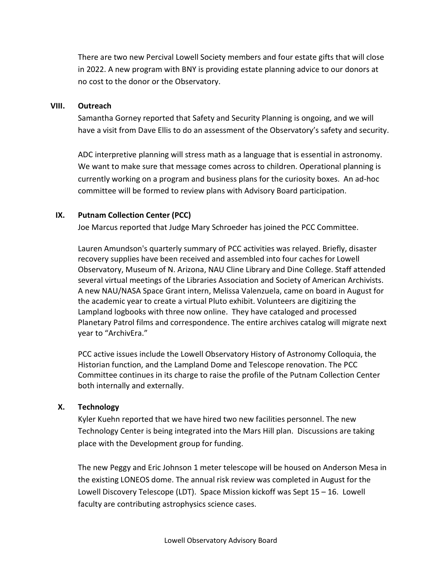There are two new Percival Lowell Society members and four estate gifts that will close in 2022. A new program with BNY is providing estate planning advice to our donors at no cost to the donor or the Observatory.

### VIII. Outreach

Samantha Gorney reported that Safety and Security Planning is ongoing, and we will have a visit from Dave Ellis to do an assessment of the Observatory's safety and security.

ADC interpretive planning will stress math as a language that is essential in astronomy. We want to make sure that message comes across to children. Operational planning is currently working on a program and business plans for the curiosity boxes. An ad-hoc committee will be formed to review plans with Advisory Board participation.

# IX. Putnam Collection Center (PCC)

Joe Marcus reported that Judge Mary Schroeder has joined the PCC Committee.

Lauren Amundson's quarterly summary of PCC activities was relayed. Briefly, disaster recovery supplies have been received and assembled into four caches for Lowell Observatory, Museum of N. Arizona, NAU Cline Library and Dine College. Staff attended several virtual meetings of the Libraries Association and Society of American Archivists. A new NAU/NASA Space Grant intern, Melissa Valenzuela, came on board in August for the academic year to create a virtual Pluto exhibit. Volunteers are digitizing the Lampland logbooks with three now online. They have cataloged and processed Planetary Patrol films and correspondence. The entire archives catalog will migrate next year to "ArchivEra."

PCC active issues include the Lowell Observatory History of Astronomy Colloquia, the Historian function, and the Lampland Dome and Telescope renovation. The PCC Committee continues in its charge to raise the profile of the Putnam Collection Center both internally and externally.

# X. Technology

Kyler Kuehn reported that we have hired two new facilities personnel. The new Technology Center is being integrated into the Mars Hill plan. Discussions are taking place with the Development group for funding.

The new Peggy and Eric Johnson 1 meter telescope will be housed on Anderson Mesa in the existing LONEOS dome. The annual risk review was completed in August for the Lowell Discovery Telescope (LDT). Space Mission kickoff was Sept 15 – 16. Lowell faculty are contributing astrophysics science cases.